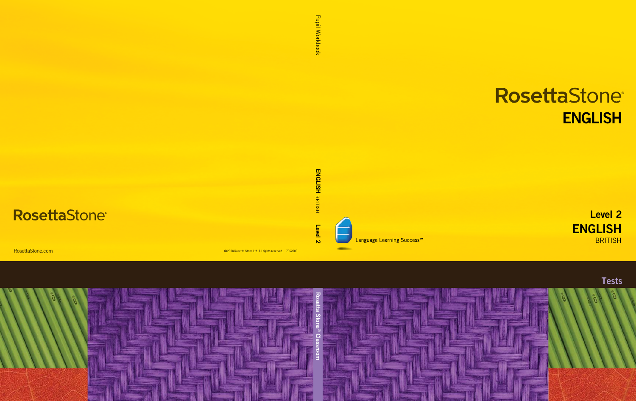# RosettaStone® **ENGLISH**

**ENGLISH BRITISH** Level 2



Language Learning Success<sup>™</sup>

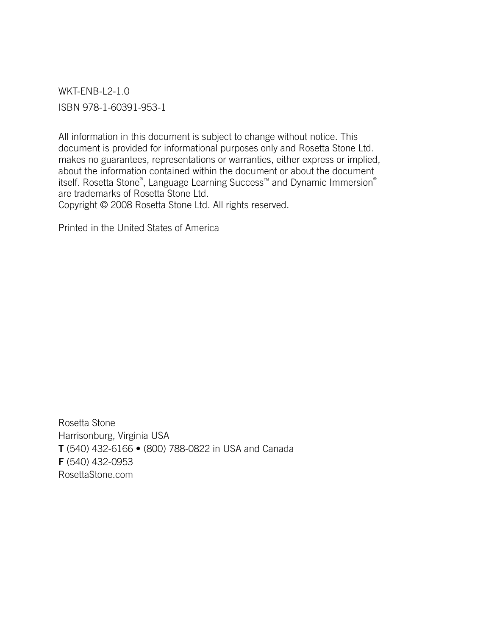WKT-ENB-L2-1.0 ISBN 978-1-60391-953-1

All information in this document is subject to change without notice. This document is provided for informational purposes only and Rosetta Stone Ltd. makes no guarantees, representations or warranties, either express or implied, about the information contained within the document or about the document itself. Rosetta Stone® , Language Learning Success™ and Dynamic Immersion® are trademarks of Rosetta Stone Ltd. Copyright © 2008 Rosetta Stone Ltd. All rights reserved.

Printed in the United States of America

Rosetta Stone Harrisonburg, Virginia USA T (540) 432-6166 • (800) 788-0822 in USA and Canada F (540) 432-0953 RosettaStone.com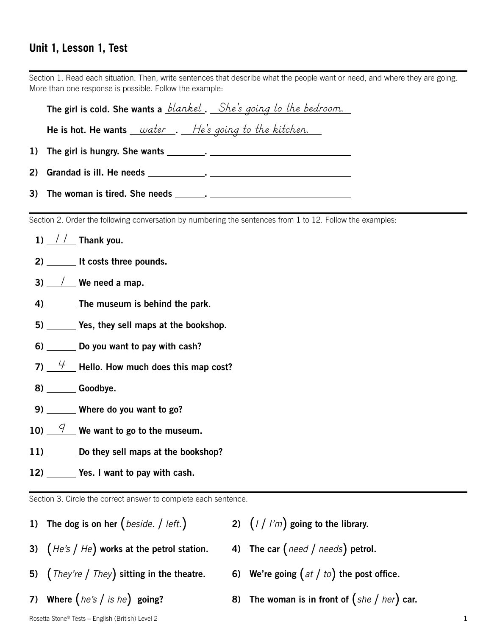# **Unit 1, Lesson 1, Test**

| Section 1. Read each situation. Then, write sentences that describe what the people want or need, and where they are going.<br>More than one response is possible. Follow the example: |  |  |  |  |
|----------------------------------------------------------------------------------------------------------------------------------------------------------------------------------------|--|--|--|--|
| <b>The girl is cold. She wants a</b> <i>blanket</i> . She's going to the bedroom.                                                                                                      |  |  |  |  |
| He is hot. He wants $\_\_water\_\_\_He's$ going to the kitchen.                                                                                                                        |  |  |  |  |
| 1)                                                                                                                                                                                     |  |  |  |  |
|                                                                                                                                                                                        |  |  |  |  |
|                                                                                                                                                                                        |  |  |  |  |
| Section 2. Order the following conversation by numbering the sentences from 1 to 12. Follow the examples:                                                                              |  |  |  |  |
| 1) $\frac{1}{\sqrt{2}}$ Thank you.                                                                                                                                                     |  |  |  |  |
| 2) _______ It costs three pounds.                                                                                                                                                      |  |  |  |  |
| 3) $\frac{1}{\sqrt{2}}$ We need a map.                                                                                                                                                 |  |  |  |  |
| 4) The museum is behind the park.                                                                                                                                                      |  |  |  |  |
| 5) _______ Yes, they sell maps at the bookshop.                                                                                                                                        |  |  |  |  |
| 6) Do you want to pay with cash?                                                                                                                                                       |  |  |  |  |
| 7) $\frac{H}{I}$ Hello. How much does this map cost?                                                                                                                                   |  |  |  |  |
| 8) ________ Goodbye.                                                                                                                                                                   |  |  |  |  |
| 9) ______ Where do you want to go?                                                                                                                                                     |  |  |  |  |
| $\frac{9}{2}$ We want to go to the museum.<br>10)                                                                                                                                      |  |  |  |  |
| 11) Do they sell maps at the bookshop?                                                                                                                                                 |  |  |  |  |
| 12) _______ Yes. I want to pay with cash.                                                                                                                                              |  |  |  |  |
| Section 3. Circle the correct answer to complete each sentence.                                                                                                                        |  |  |  |  |

- 3) (*He's* / *He*) works at the petrol station. 5) (*They're* / *They*) sitting in the theatre.
- 7) Where (*he's* / *is he*) going?

1) The dog is on her (*beside.* / *left.*)

- 2)  $(1 / I'm)$  going to the library.
- 4) The car (*need* / *needs*) petrol.
- 6) We're going (*at* / *to*) the post office.
- 8) The woman is in front of (*she* / *her*) car.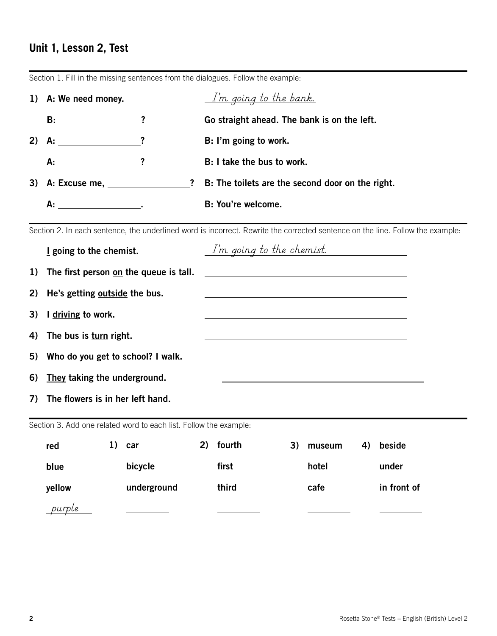# **Unit 1, Lesson 2, Test**

|    | 1) A: We need money.                      |         | I'm going to the bank.                           |
|----|-------------------------------------------|---------|--------------------------------------------------|
|    | $B:$ $?$                                  |         | Go straight ahead. The bank is on the left.      |
| 2) | $A:$ $?$                                  |         | B: I'm going to work.                            |
|    | $A:$ 2                                    |         | B: I take the bus to work.                       |
|    |                                           | $\cdot$ | B: The toilets are the second door on the right. |
|    | А.<br>the contract of the contract of the |         | B: You're welcome.                               |

Section 1. Fill in the missing sentences from the dialogues. Follow the example:

Section 2. In each sentence, the underlined word is incorrect. Rewrite the corrected sentence on the line. Follow the example:

|                                                                   | I going to the chemist.                                                                                                                                |    |             |    | I'm going to the chemist. |    |                                                                                           |    |             |  |
|-------------------------------------------------------------------|--------------------------------------------------------------------------------------------------------------------------------------------------------|----|-------------|----|---------------------------|----|-------------------------------------------------------------------------------------------|----|-------------|--|
| 1)                                                                | The first person on the queue is tall.<br><u> 1989 - Johann Barbara, martxa alemaniar arg</u>                                                          |    |             |    |                           |    |                                                                                           |    |             |  |
| 2)                                                                | He's getting outside the bus.                                                                                                                          |    |             |    |                           |    |                                                                                           |    |             |  |
| 3)                                                                | driving to work.                                                                                                                                       |    |             |    |                           |    |                                                                                           |    |             |  |
| 4)                                                                | The bus is turn right.                                                                                                                                 |    |             |    |                           |    | the control of the control of the control of the control of the control of the control of |    |             |  |
| 5)                                                                | Who do you get to school? I walk.                                                                                                                      |    |             |    |                           |    |                                                                                           |    |             |  |
| 6)                                                                | They taking the underground.<br><u> 1989 - Johann Barbara, martin amerikan pendadian pengaran pengaran pengaran pengaran pengaran pengaran pengara</u> |    |             |    |                           |    |                                                                                           |    |             |  |
| 7)                                                                | The flowers is in her left hand.                                                                                                                       |    |             |    |                           |    |                                                                                           |    |             |  |
| Section 3. Add one related word to each list. Follow the example: |                                                                                                                                                        |    |             |    |                           |    |                                                                                           |    |             |  |
|                                                                   | red                                                                                                                                                    | 1) | car         | 2) | fourth                    | 3) | museum                                                                                    | 4) | beside      |  |
|                                                                   | blue                                                                                                                                                   |    | bicycle     |    | first                     |    | hotel                                                                                     |    | under       |  |
|                                                                   | yellow                                                                                                                                                 |    | underground |    | third                     |    | cafe                                                                                      |    | in front of |  |

 $\overline{a}$ 

*purple*

 $\overline{a}$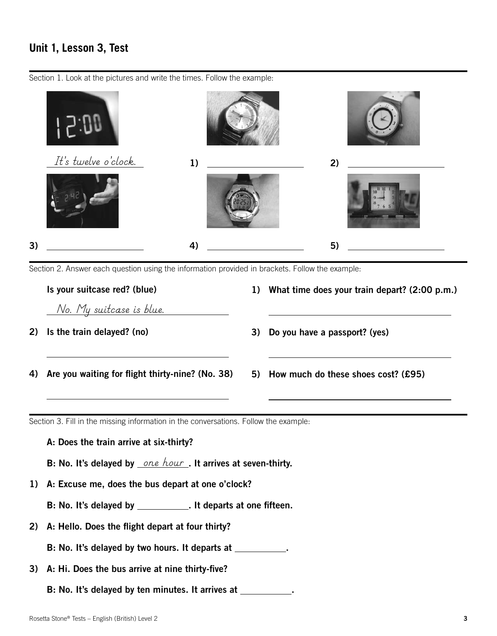#### **Unit 1, Lesson 3, Test**

Section 1. Look at the pictures and write the times. Follow the example:



Section 2. Answer each question using the information provided in brackets. Follow the example:

Is your suitcase red? (blue) *No. My suitcase is blue.* 2) Is the train delayed? (no)  $\overline{a}$ 4) Are you waiting for flight thirty-nine? (No. 38)  $\overline{a}$ 1) What time does your train depart? (2:00 p.m.)  $\overline{a}$ 3) Do you have a passport? (yes)  $\overline{a}$ 5) How much do these shoes cost? (£95)  $\overline{a}$ 

Section 3. Fill in the missing information in the conversations. Follow the example:

A: Does the train arrive at six-thirty?

B: No. It's delayed by *\_one hour*\_. It arrives at seven-thirty.

- 1) A: Excuse me, does the bus depart at one o'clock?
	- B: No. It's delayed by \_\_\_\_\_\_\_\_\_\_\_. It departs at one fifteen.
- 2) A: Hello. Does the flight depart at four thirty?

B: No. It's delayed by two hours. It departs at \_\_\_\_\_\_\_\_\_\_.

- 3) A: Hi. Does the bus arrive at nine thirty-five?
	- B: No. It's delayed by ten minutes. It arrives at \_\_\_\_\_\_\_\_\_\_.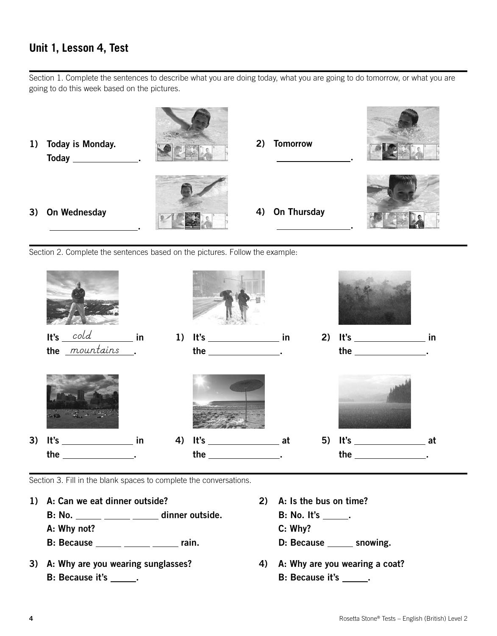## **Unit 1, Lesson 4, Test**

Section 1. Complete the sentences to describe what you are doing today, what you are going to do tomorrow, or what you are going to do this week based on the pictures.



Section 2. Complete the sentences based on the pictures. Follow the example:



Section 3. Fill in the blank spaces to complete the conversations.

1) A: Can we eat dinner outside? 2) A: Is the bus on time?

- B: No.  $\frac{1}{\sqrt{1-\frac{1}{n}}}$  dinner outside. B: No. It's  $\frac{1}{\sqrt{1-\frac{1}{n}}}$ .
- A: Why not? C: Why?
- B: Because <u>come come rain.</u> The cause control of the snowing.
- 3) A: Why are you wearing sunglasses? 4) A: Why are you wearing a coat? B: Because it's \_\_\_\_\_\_. The contract of the B: Because it's \_\_\_\_\_.
- -
	-
	-
	-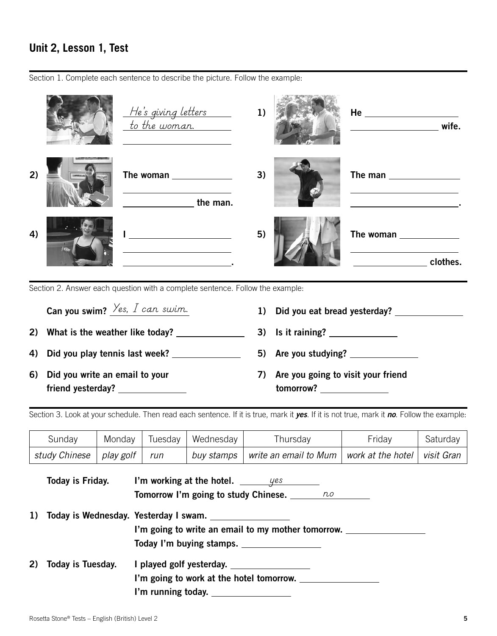# **Unit 2, Lesson 1, Test**

Section 1. Complete each sentence to describe the picture. Follow the example:



Section 2. Answer each question with a complete sentence. Follow the example:

| Can you swim? $\frac{\gamma_{es}}{\gamma_{cs}}$ can swim. |    | 1) Did you eat bread yesterday?                                                                                                                                                                                                                                          |
|-----------------------------------------------------------|----|--------------------------------------------------------------------------------------------------------------------------------------------------------------------------------------------------------------------------------------------------------------------------|
| 2) What is the weather like today?                        |    | 3) Is it raining? $\frac{1}{2}$                                                                                                                                                                                                                                          |
| 4) Did you play tennis last week?                         |    | 5) Are you studying?                                                                                                                                                                                                                                                     |
| 6) Did you write an email to your                         | 7) | Are you going to visit your friend<br><b>tomorrow?</b> to the control of the control of the control of the control of the control of the control of the control of the control of the control of the control of the control of the control of the control of the control |

Section 3. Look at your schedule. Then read each sentence. If it is true, mark it *yes*. If it is not true, mark it *no*. Follow the example:

| Sunday                          | Monday |     | Tuesday   Wednesday | Thursday                                                                | Friday | Saturday |
|---------------------------------|--------|-----|---------------------|-------------------------------------------------------------------------|--------|----------|
| study Chinese $ $ play golf $ $ |        | run | buy stamps          | $\mid$ write an email to Mum $\mid$ work at the hotel $\mid$ visit Gran |        |          |

|    | Today is Friday.  | I'm working at the hotel. $\frac{y}{x}$             |
|----|-------------------|-----------------------------------------------------|
|    |                   | <b>Tomorrow I'm going to study Chinese.</b> 100 100 |
| 1) |                   | Today is Wednesday. Yesterday I swam.               |
|    |                   | I'm going to write an email to my mother tomorrow.  |
|    |                   | Today I'm buying stamps.                            |
| 2) | Today is Tuesday. |                                                     |
|    |                   | I'm going to work at the hotel tomorrow.            |
|    |                   | I'm running today.                                  |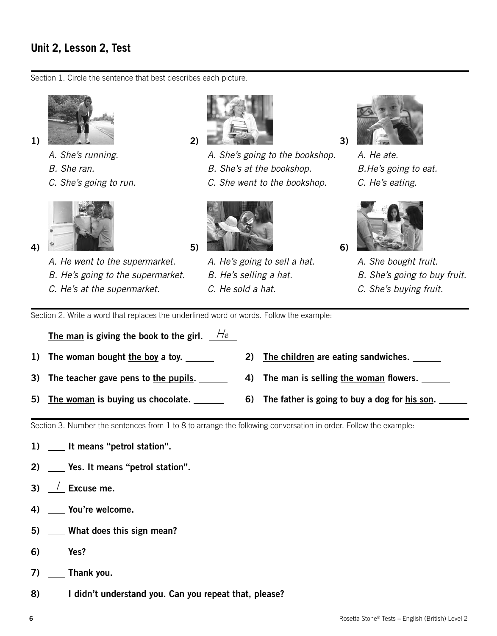### **Unit 2, Lesson 2, Test**

Section 1. Circle the sentence that best describes each picture.



- *A. She's running.*
- *B. She ran.*
- *C. She's going to run.*



4)

*A. He went to the supermarket. B. He's going to the supermarket. C. He's at the supermarket.*



- *A. She's going to the bookshop.* 
	- *B. She's at the bookshop.*
	- *C. She went to the bookshop.*



*A. He's going to sell a hat. B. He's selling a hat. C. He sold a hat.*



3)

6)

*A. He ate. B.He's going to eat. C. He's eating.*



*A. She bought fruit. B. She's going to buy fruit. C. She's buying fruit.*

Section 2. Write a word that replaces the underlined word or words. Follow the example:

The man is giving the book to the girl. *He*

- 1) The woman bought the boy a toy. \_\_\_\_\_\_\_\_ 2) The children are eating sandwiches. \_\_\_\_\_
- 3) The teacher gave pens to the pupils.  $\qquad \qquad$  4) The man is selling the woman flowers.  $\qquad \qquad$
- 5) The woman is buying us chocolate. \_\_\_\_\_\_\_\_ 6) The father is going to buy a dog for his son.

Section 3. Number the sentences from 1 to 8 to arrange the following conversation in order. Follow the example:

- 1) \_\_ It means "petrol station".
- 2) Yes. It means "petrol station".
- 3) <u>/</u> Excuse me.
- 4) You're welcome.
- 5) What does this sign mean?
- 6) Yes?
- 7) \_\_\_\_ Thank you.
- 8) \_\_ I didn't understand you. Can you repeat that, please?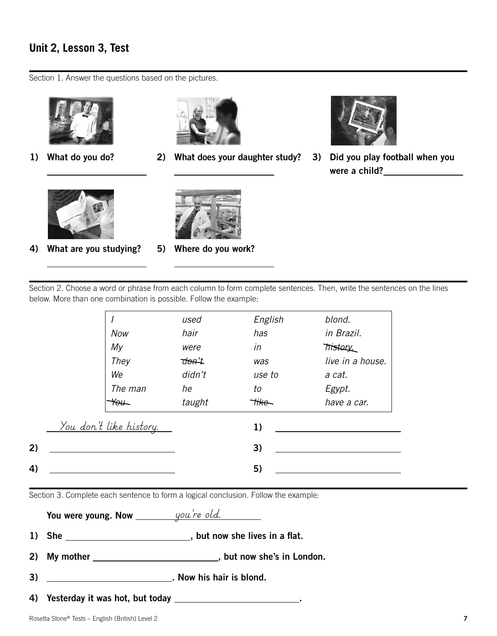#### **Unit 2, Lesson 3, Test**

Section 1. Answer the questions based on the pictures.



1) What do you do?

 $\overline{a}$ 

 $\overline{a}$ 



 $\overline{a}$ 

 $\overline{a}$ 

2) What does your daughter study?



3) Did you play football when you were a child?



4) What are you studying?



5) Where do you work?

Section 2. Choose a word or phrase from each column to form complete sentences. Then, write the sentences on the lines below. More than one combination is possible. Follow the example:

*I Now My They We The man You used hair were don't didn't he taught English has in was use to to like blond. in Brazil. history. live in a house. a cat. Egypt. have a car.* 1) *You don't like history.*  $2)$  3) 4) 5)

Section 3. Complete each sentence to form a logical conclusion. Follow the example:

|    |                                         | 2) My mother _________________________________, but now she's in London. |
|----|-----------------------------------------|--------------------------------------------------------------------------|
| 3) | <u> 1990 - Johann Barbara, martin a</u> | . Now his hair is blond.                                                 |
|    |                                         |                                                                          |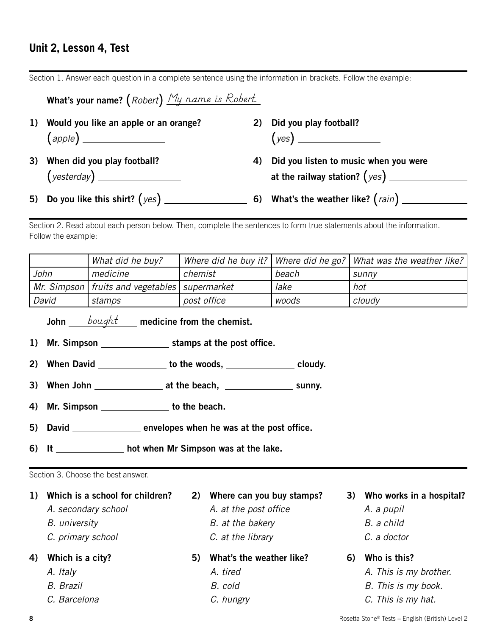#### **Unit 2, Lesson 4, Test**

Section 1. Answer each question in a complete sentence using the information in brackets. Follow the example:

| What's your name? (Robert) My name is Robert. |                                          |
|-----------------------------------------------|------------------------------------------|
| 1) Would you like an apple or an orange?      | 2) Did you play football?                |
| 3) When did you play football?                | 4) Did you listen to music when you were |
|                                               |                                          |

Section 2. Read about each person below. Then, complete the sentences to form true statements about the information. Follow the example:

|                                                   | What did he buy? |             |       | Where did he buy it?   Where did he go?   What was the weather like? |
|---------------------------------------------------|------------------|-------------|-------|----------------------------------------------------------------------|
| John                                              | medicine         | chemist     | beach | sunnv                                                                |
| Mr. Simpson   fruits and vegetables   supermarket |                  |             | lake  | hot                                                                  |
| David                                             | stamps           | post office | woods | cloudy                                                               |

John \_\_*\_\_\_bought*\_\_\_\_\_ medicine from the chemist.

- 1) Mr. Simpson \_\_\_\_\_\_\_\_\_\_\_\_\_\_\_\_\_\_\_\_ stamps at the post office.
- 2) When David \_\_\_\_\_\_\_\_\_\_\_\_\_\_ to the woods, \_\_\_\_\_\_\_\_\_\_\_\_\_\_\_\_ cloudy.
- 3) When John  $\frac{1}{\sqrt{3}}$  at the beach,  $\frac{1}{\sqrt{3}}$  sunny.
- 4) Mr. Simpson to the beach.
- 5) David \_\_\_\_\_\_\_\_\_\_\_\_\_\_\_\_\_ envelopes when he was at the post office.
- 6) It hot when Mr Simpson was at the lake.

Section 3. Choose the best answer.

1) Which is a school for children? 2) Where can you buy stamps? 3) Who works in a hospital? A. secondary school *A. at the post office* **A. a pupil** *B. university B. at the bakery B. a child C. primary school C. at the library C. a doctor* 4) Which is a city? **5)** What's the weather like? 6) Who is this? *A. Italy A. tired A. This is my brother.*

*B. Brazil B. cold B. This is my book.*

- *C. Barcelona C. hungry C. This is my hat.*
- 8 **8** Rosetta Stone® Tests English (British) Level 2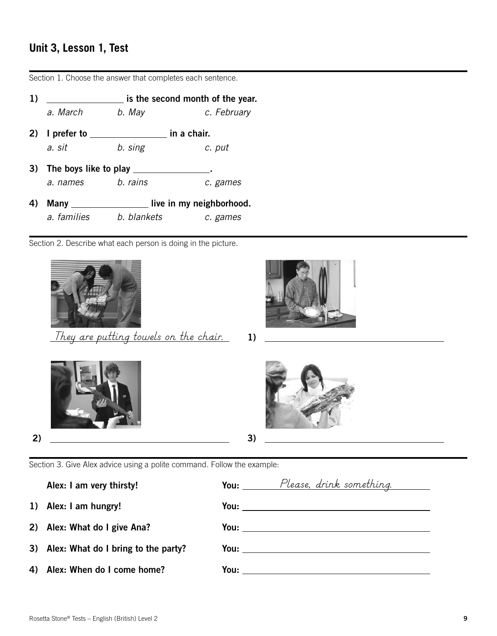# **Unit 3, Lesson 1, Test**

| 1) |                       |             | is the second month of the year. |
|----|-----------------------|-------------|----------------------------------|
|    | a. March              | b. May      | c. February                      |
| 2) | I prefer to           |             | in a chair.                      |
|    | a. sit                | b. sing     | c. put                           |
| 3) | The boys like to play |             |                                  |
|    | a. names              | b. rains    | c. games                         |
| 4) | Many $\_\_$           |             | live in my neighborhood.         |
|    | a. families           | b. blankets | c. games                         |
|    |                       |             |                                  |

Section 1. Choose the answer that completes each sentence.

Section 2. Describe what each person is doing in the picture.





1) *They are putting towels on the chair.*





Section 3. Give Alex advice using a polite command. Follow the example:

Alex: I am very thirsty!

- 1) Alex: I am hungry!
- 2) Alex: What do I give Ana?
- 3) Alex: What do I bring to the party?
- 4) Alex: When do I come home?

|      | You: Please, drink something.                                                                                         |  |
|------|-----------------------------------------------------------------------------------------------------------------------|--|
|      | You: ________________________                                                                                         |  |
|      |                                                                                                                       |  |
|      |                                                                                                                       |  |
| You: | <u> 1989 - Jan James Barbara, prima populație de la proprietat de la proprietat de la proprietat de la proprietat</u> |  |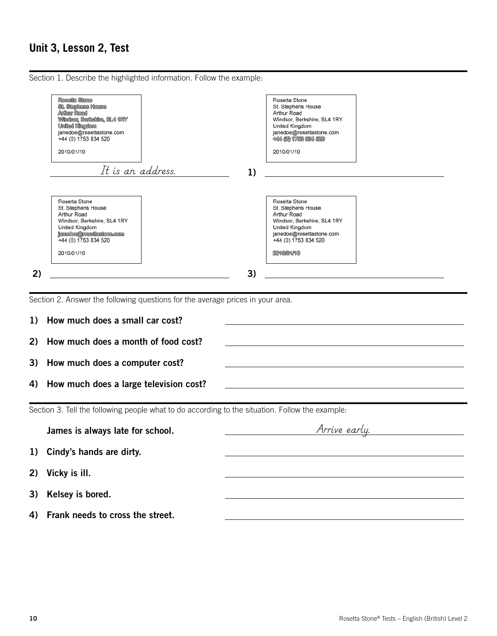#### **Unit 3, Lesson 2, Test**

Section 1. Describe the highlighted information. Follow the example:



Section 2. Answer the following questions for the average prices in your area.

| 1) How much does a small car cost?        |  |
|-------------------------------------------|--|
| 2) How much does a month of food cost?    |  |
| 3) How much does a computer cost?         |  |
| 4) How much does a large television cost? |  |

Section 3. Tell the following people what to do according to the situation. Follow the example:

James is always late for school. 1) Cindy's hands are dirty. 2) Vicky is ill. 3) Kelsey is bored. 4) Frank needs to cross the street. *Arrive early.*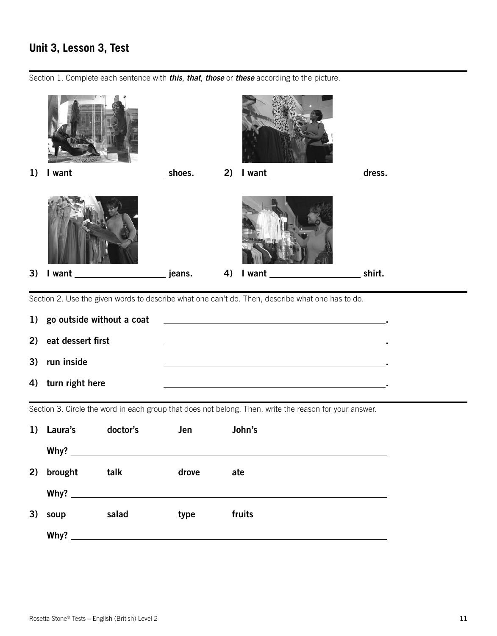# **Unit 3, Lesson 3, Test**

Section 1. Complete each sentence with *this*, *that*, *those* or *these* according to the picture.



Section 2. Use the given words to describe what one can't do. Then, describe what one has to do.

| 1) go outside without a coat | the control of the control of the control of |
|------------------------------|----------------------------------------------|
| 2) eat dessert first         |                                              |
| 3) run inside                |                                              |
| 4) turn right here           |                                              |

Section 3. Circle the word in each group that does not belong. Then, write the reason for your answer.

| 1) | Laura's | doctor's                                                  | Jen   | John's |
|----|---------|-----------------------------------------------------------|-------|--------|
|    | Why?    | <u> 1989 - John Stein, Amerikaansk politiker (* 1918)</u> |       |        |
| 2) | brought | talk                                                      | drove | ate    |
|    | Why?    |                                                           |       |        |
| 3) | soup    | salad                                                     | type  | fruits |
|    | Why?    |                                                           |       |        |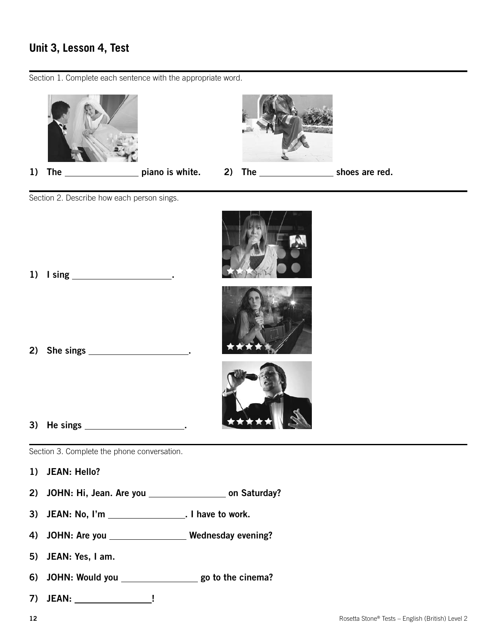#### **Unit 3, Lesson 4, Test**

1) The  $\frac{1}{\sqrt{1-\frac{1}{2}}}\$  piano is white. 2) The  $\frac{1}{\sqrt{1-\frac{1}{2}}}\$  shoes are red. Section 2. Describe how each person sings. 1) I sing . 2) She sings <u>the singular state of</u> the single state of the single state of the single state of the single state of the single state of the single state of the single state of the single state  $\frac{1}{2}$  state of the singl 3) He sings . Section 3. Complete the phone conversation.

Section 1. Complete each sentence with the appropriate word.

- 1) JEAN: Hello?
- 2) JOHN: Hi, Jean. Are you \_\_\_\_\_\_\_\_\_\_\_\_\_\_\_\_\_\_ on Saturday?
- 3) JEAN: No, I'm \_\_\_\_\_\_\_\_\_\_\_\_\_\_\_\_\_\_\_\_. I have to work.
- 4) JOHN: Are you \_\_\_\_\_\_\_\_\_\_\_\_\_\_\_\_\_\_ Wednesday evening?
- 5) JEAN: Yes, I am.
- 6) JOHN: Would you \_\_\_\_\_\_\_\_\_\_\_\_\_\_\_\_\_\_\_\_\_\_ go to the cinema?
- 7) JEAN: !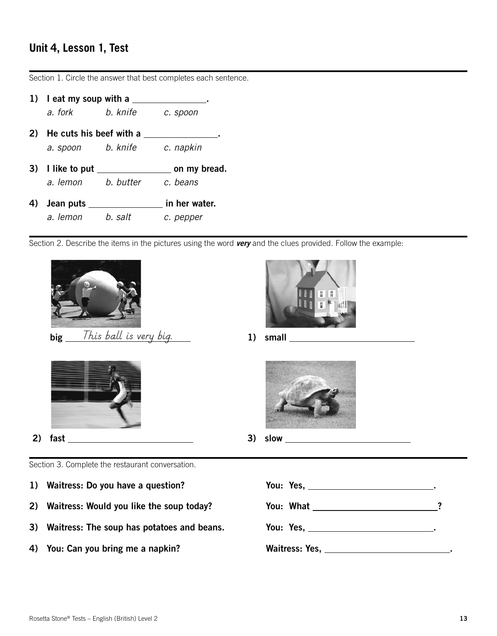# **Unit 4, Lesson 1, Test**

Section 1. Circle the answer that best completes each sentence.

|    | 1) $\blacksquare$ leat my soup with a |           |               |  |
|----|---------------------------------------|-----------|---------------|--|
|    | a. fork                               | b. knife  | c. spoon      |  |
| 2) | He cuts his beef with a               |           |               |  |
|    | a. spoon                              | b. knife  | c. napkin     |  |
| 3) | I like to put                         |           | on my bread.  |  |
|    | a. lemon                              | b. butter | c. beans      |  |
| 4) | Jean puts                             |           | in her water. |  |
|    |                                       |           |               |  |

Section 2. Describe the items in the pictures using the word *very* and the clues provided. Follow the example:



big 1) small *This ball is very big.*





2) fast 3) slow



Section 3. Complete the restaurant conversation.

- 
- 
- 
- 

```
1) Waitress: Do you have a question? The Moult Yes, <u>the Constantine of the Vester Australian Constantine</u>.
2) Waitress: Would you like the soup today? You: What __________________________?
3) Waitress: The soup has potatoes and beans. You: Yes, ________________________.
4) You: Can you bring me a napkin? Waitress: Yes, __________________________.
```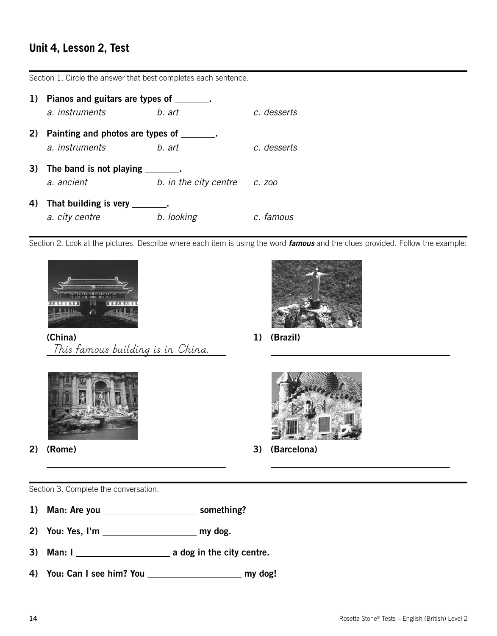# **Unit 4, Lesson 2, Test**

|    | 1) Pianos and guitars are types of<br>a. instruments | b. art                | c. desserts |
|----|------------------------------------------------------|-----------------------|-------------|
| 2) | Painting and photos are types of<br>a. instruments   | b. art                | c. desserts |
|    | 3) The band is not playing<br>a. ancient             | b. in the city centre | C. ZOO      |
| 4) | That building is very                                | b. looking            | c. famous   |

Section 1. Circle the answer that best completes each sentence.

Section 2. Look at the pictures. Describe where each item is using the word *famous* and the clues provided. Follow the example:



(China) *This famous building is in China.*



1) (Brazil)

 $\overline{a}$ 



2) (Rome)

 $\overline{a}$ 

 $\overline{a}$ 



3) (Barcelona)

 $\overline{a}$ 

Section 3. Complete the conversation.

- 1) Man: Are you \_\_\_\_\_\_\_\_\_\_\_\_\_\_\_\_\_\_\_\_\_\_\_\_\_\_ something?
- 2) You: Yes, I'm my dog.
- 3) Man: I a dog in the city centre.
- 4) You: Can I see him? You \_\_\_\_\_\_\_\_\_\_\_\_\_\_\_\_\_\_\_\_\_\_\_ my dog!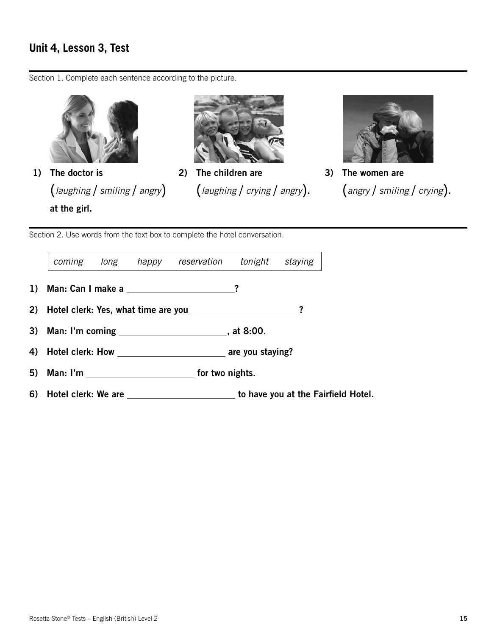#### **Unit 4, Lesson 3, Test**

Section 1. Complete each sentence according to the picture.







2) The children are (*laughing* / *crying* / *angry*).



3) The women are (*angry* / *smiling* / *crying*).

Section 2. Use words from the text box to complete the hotel conversation.